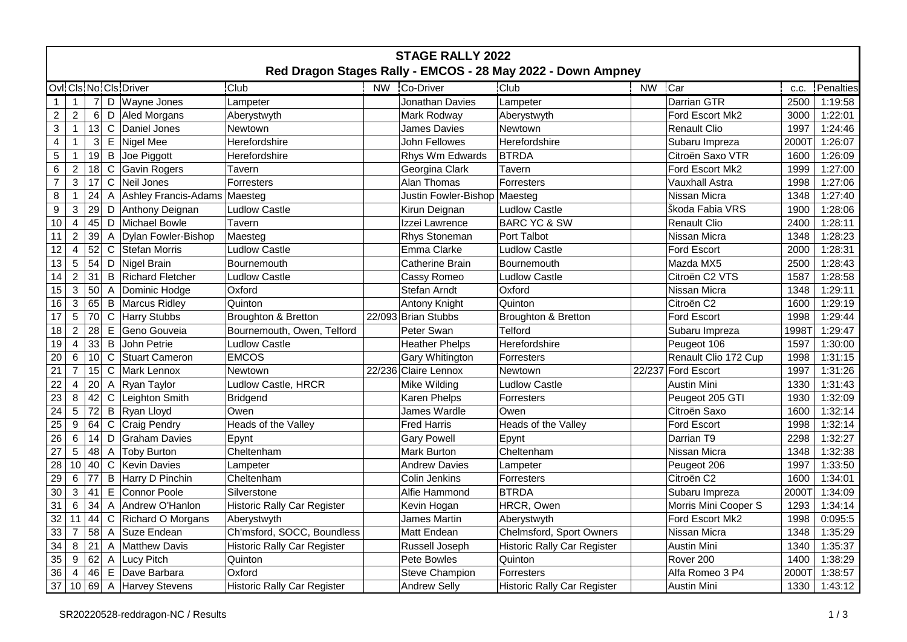| <b>STAGE RALLY 2022</b>                                     |                           |    |              |                              |                                    |           |                              |                                    |           |                       |       |           |
|-------------------------------------------------------------|---------------------------|----|--------------|------------------------------|------------------------------------|-----------|------------------------------|------------------------------------|-----------|-----------------------|-------|-----------|
| Red Dragon Stages Rally - EMCOS - 28 May 2022 - Down Ampney |                           |    |              |                              |                                    |           |                              |                                    |           |                       |       |           |
|                                                             |                           |    |              | Ovli Cls No Cls Driver       | Club                               | <b>NW</b> | Co-Driver                    | <b>Club</b>                        | <b>NW</b> | Car                   | C.C.  | Penalties |
| 1                                                           | $\mathbf{1}$              | 7  |              | D   Wayne Jones              | Lampeter                           |           | Jonathan Davies              | Lampeter                           |           | Darrian GTR           | 2500  | 1:19:58   |
| $\overline{c}$                                              | 2                         | 6  |              | D Aled Morgans               | Aberystwyth                        |           | Mark Rodway                  | Aberystwyth                        |           | Ford Escort Mk2       | 3000  | 1:22:01   |
| 3                                                           | $\mathbf{1}$              | 13 |              | C Daniel Jones               | Newtown                            |           | James Davies                 | Newtown                            |           | <b>Renault Clio</b>   | 1997  | 1:24:46   |
| 4                                                           | $\mathbf{1}$              | 3  |              | $E$ Nigel Mee                | Herefordshire                      |           | John Fellowes                | Herefordshire                      |           | Subaru Impreza        | 2000T | 1:26:07   |
| 5                                                           | $\mathbf{1}$              | 19 | B            | Joe Piggott                  | Herefordshire                      |           | Rhys Wm Edwards              | <b>BTRDA</b>                       |           | Citroën Saxo VTR      | 1600  | 1:26:09   |
| 6                                                           | $\overline{2}$            | 18 | $\mathsf{C}$ | Gavin Rogers                 | Tavern                             |           | Georgina Clark               | Tavern                             |           | Ford Escort Mk2       | 1999  | 1:27:00   |
| $\boldsymbol{7}$                                            | 3                         | 17 | $\mathbf C$  | Neil Jones                   | Forresters                         |           | <b>Alan Thomas</b>           | Forresters                         |           | <b>Vauxhall Astra</b> | 1998  | 1:27:06   |
| 8                                                           | $\mathbf{1}$              | 24 | A            | Ashley Francis-Adams Maesteg |                                    |           | Justin Fowler-Bishop Maesteg |                                    |           | Nissan Micra          | 1348  | 1:27:40   |
| $\boldsymbol{9}$                                            | $\ensuremath{\mathsf{3}}$ | 29 |              | D Anthony Deignan            | <b>Ludlow Castle</b>               |           | Kirun Deignan                | <b>Ludlow Castle</b>               |           | Škoda Fabia VRS       | 1900  | 1:28:06   |
| 10                                                          | 4                         | 45 | D            | Michael Bowle                | Tavern                             |           | Izzei Lawrence               | <b>BARC YC &amp; SW</b>            |           | <b>Renault Clio</b>   | 2400  | 1:28:11   |
| 11                                                          | $\overline{2}$            | 39 |              | A Dylan Fowler-Bishop        | Maesteg                            |           | Rhys Stoneman                | Port Talbot                        |           | Nissan Micra          | 1348  | 1:28:23   |
| 12                                                          | $\overline{4}$            | 52 | $\mathsf C$  | Stefan Morris                | <b>Ludlow Castle</b>               |           | Emma Clarke                  | <b>Ludlow Castle</b>               |           | <b>Ford Escort</b>    | 2000  | 1:28:31   |
| 13                                                          | 5                         | 54 |              | D Nigel Brain                | <b>Bournemouth</b>                 |           | Catherine Brain              | Bournemouth                        |           | Mazda MX5             | 2500  | 1:28:43   |
| 14                                                          | $\overline{2}$            | 31 | B            | <b>Richard Fletcher</b>      | <b>Ludlow Castle</b>               |           | Cassy Romeo                  | <b>Ludlow Castle</b>               |           | Citroën C2 VTS        | 1587  | 1:28:58   |
| 15                                                          | $\mathbf{3}$              | 50 |              | A Dominic Hodge              | Oxford                             |           | Stefan Arndt                 | Oxford                             |           | Nissan Micra          | 1348  | 1:29:11   |
| 16                                                          | 3                         | 65 |              | <b>B</b> Marcus Ridley       | Quinton                            |           | <b>Antony Knight</b>         | Quinton                            |           | Citroën C2            | 1600  | 1:29:19   |
| 17                                                          | 5                         | 70 | $\mathsf{C}$ | Harry Stubbs                 | Broughton & Bretton                |           | 22/093 Brian Stubbs          | Broughton & Bretton                |           | <b>Ford Escort</b>    | 1998  | 1:29:44   |
| 18                                                          | 2                         | 28 | Е            | Geno Gouveia                 | Bournemouth, Owen, Telford         |           | Peter Swan                   | <b>Telford</b>                     |           | Subaru Impreza        | 1998T | 1:29:47   |
| 19                                                          | 4                         | 33 | B            | John Petrie                  | <b>Ludlow Castle</b>               |           | <b>Heather Phelps</b>        | Herefordshire                      |           | Peugeot 106           | 1597  | 1:30:00   |
| 20                                                          | $6\phantom{1}6$           | 10 | C            | Stuart Cameron               | <b>EMCOS</b>                       |           | <b>Gary Whitington</b>       | Forresters                         |           | Renault Clio 172 Cup  | 1998  | 1:31:15   |
| 21                                                          | $\overline{7}$            | 15 | $\mathsf{C}$ | Mark Lennox                  | Newtown                            |           | 22/236 Claire Lennox         | Newtown                            |           | 22/237 Ford Escort    | 1997  | 1:31:26   |
| 22                                                          | 4                         | 20 |              | A Ryan Taylor                | Ludlow Castle, HRCR                |           | Mike Wilding                 | <b>Ludlow Castle</b>               |           | <b>Austin Mini</b>    | 1330  | 1:31:43   |
| 23                                                          | $\,8\,$                   | 42 | C            | Leighton Smith               | <b>Bridgend</b>                    |           | Karen Phelps                 | Forresters                         |           | Peugeot 205 GTI       | 1930  | 1:32:09   |
| 24                                                          | 5                         | 72 |              | B Ryan Lloyd                 | Owen                               |           | James Wardle                 | Owen                               |           | Citroën Saxo          | 1600  | 1:32:14   |
| 25                                                          | $9\,$                     | 64 | $\mathsf C$  | Craig Pendry                 | Heads of the Valley                |           | <b>Fred Harris</b>           | Heads of the Valley                |           | Ford Escort           | 1998  | 1:32:14   |
| 26                                                          | $\,6\,$                   | 14 | D            | <b>Graham Davies</b>         | Epynt                              |           | <b>Gary Powell</b>           | Epynt                              |           | Darrian T9            | 2298  | 1:32:27   |
| 27                                                          | 5                         | 48 | A            | Toby Burton                  | Cheltenham                         |           | <b>Mark Burton</b>           | Cheltenham                         |           | Nissan Micra          | 1348  | 1:32:38   |
| 28                                                          | 10                        | 40 | C            | Kevin Davies                 | Lampeter                           |           | <b>Andrew Davies</b>         | Lampeter                           |           | Peugeot 206           | 1997  | 1:33:50   |
| 29                                                          | $\,6\,$                   | 77 | B            | Harry D Pinchin              | Cheltenham                         |           | Colin Jenkins                | Forresters                         |           | Citroën C2            | 1600  | 1:34:01   |
| 30                                                          | $\mathbf{3}$              | 41 |              | E Connor Poole               | Silverstone                        |           | Alfie Hammond                | <b>BTRDA</b>                       |           | Subaru Impreza        | 2000T | 1:34:09   |
| 31                                                          | $6\phantom{1}6$           | 34 |              | A Andrew O'Hanlon            | Historic Rally Car Register        |           | Kevin Hogan                  | HRCR, Owen                         |           | Morris Mini Cooper S  | 1293  | 1:34:14   |
| 32                                                          | 11                        | 44 |              | C Richard O Morgans          | Aberystwyth                        |           | James Martin                 | Aberystwyth                        |           | Ford Escort Mk2       | 1998  | 0:095:5   |
| 33                                                          | $\overline{7}$            | 58 |              | A Suze Endean                | Ch'msford, SOCC, Boundless         |           | Matt Endean                  | Chelmsford, Sport Owners           |           | Nissan Micra          | 1348  | 1:35:29   |
| 34                                                          | 8                         | 21 |              | A Matthew Davis              | <b>Historic Rally Car Register</b> |           | Russell Joseph               | <b>Historic Rally Car Register</b> |           | <b>Austin Mini</b>    | 1340  | 1:35:37   |
| 35                                                          | 9                         | 62 |              | A Lucy Pitch                 | Quinton                            |           | Pete Bowles                  | Quinton                            |           | Rover <sub>200</sub>  | 1400  | 1:38:29   |
| 36                                                          | $\overline{4}$            | 46 |              | E Dave Barbara               | Oxford                             |           | <b>Steve Champion</b>        | Forresters                         |           | Alfa Romeo 3 P4       | 2000T | 1:38:57   |
| 37                                                          | 10                        |    |              | 69 A Harvey Stevens          | <b>Historic Rally Car Register</b> |           | <b>Andrew Selly</b>          | <b>Historic Rally Car Register</b> |           | Austin Mini           | 1330  | 1:43:12   |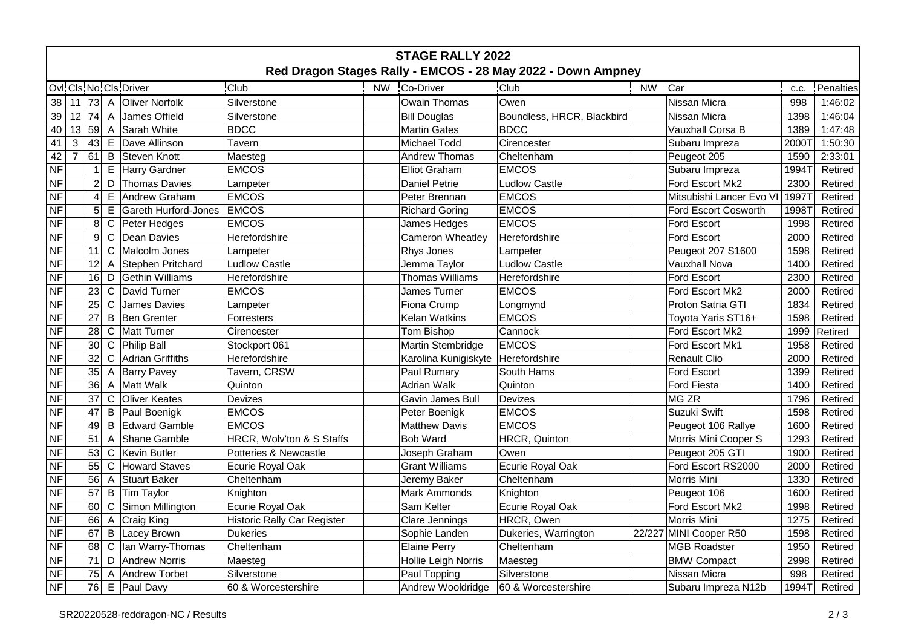| <b>STAGE RALLY 2022</b>                                     |                |                 |              |                        |                                    |           |                                         |                            |           |                          |       |           |
|-------------------------------------------------------------|----------------|-----------------|--------------|------------------------|------------------------------------|-----------|-----------------------------------------|----------------------------|-----------|--------------------------|-------|-----------|
| Red Dragon Stages Rally - EMCOS - 28 May 2022 - Down Ampney |                |                 |              |                        |                                    |           |                                         |                            |           |                          |       |           |
|                                                             |                |                 |              | Ovl Cls No Cls Driver  | <b>Club</b>                        | <b>NW</b> | Co-Driver                               | <b>Club</b>                | <b>NW</b> | Car                      | C.C.  | Penalties |
| 38 11                                                       |                |                 |              | 73 A Oliver Norfolk    | Silverstone                        |           | Owain Thomas                            | Owen                       |           | Nissan Micra             | 998   | 1:46:02   |
| 39                                                          | 12             | 74              |              | A James Offield        | Silverstone                        |           | <b>Bill Douglas</b>                     | Boundless, HRCR, Blackbird |           | Nissan Micra             | 1398  | 1:46:04   |
| 40                                                          | 13             | 59              |              | A Sarah White          | <b>BDCC</b>                        |           | <b>Martin Gates</b>                     | <b>BDCC</b>                |           | Vauxhall Corsa B         | 1389  | 1:47:48   |
| 41                                                          | 3              | 43              |              | E Dave Allinson        | Tavern                             |           | Michael Todd                            | Cirencester                |           | Subaru Impreza           | 2000T | 1:50:30   |
| 42                                                          | $\overline{7}$ | 61              |              | <b>B</b> Steven Knott  | Maesteg                            |           | <b>Andrew Thomas</b>                    | Cheltenham                 |           | Peugeot 205              | 1590  | 2:33:01   |
| <b>NF</b>                                                   |                | $\overline{1}$  |              | E Harry Gardner        | <b>EMCOS</b>                       |           | <b>Elliot Graham</b>                    | <b>EMCOS</b>               |           | Subaru Impreza           | 1994T | Retired   |
| <b>NF</b>                                                   |                | $\overline{2}$  |              | D Thomas Davies        | Lampeter                           |           | <b>Daniel Petrie</b>                    | <b>Ludlow Castle</b>       |           | Ford Escort Mk2          | 2300  | Retired   |
| <b>NF</b>                                                   |                | $\overline{4}$  |              | E Andrew Graham        | <b>EMCOS</b>                       |           | Peter Brennan                           | <b>EMCOS</b>               |           | Mitsubishi Lancer Evo VI | 1997T | Retired   |
| <b>NF</b>                                                   |                | 5 <sup>1</sup>  |              | E Gareth Hurford-Jones | <b>EMCOS</b>                       |           | <b>Richard Goring</b>                   | <b>EMCOS</b>               |           | Ford Escort Cosworth     | 19987 | Retired   |
| <b>NF</b>                                                   |                | 8               |              | C Peter Hedges         | <b>EMCOS</b>                       |           | James Hedges                            | <b>EMCOS</b>               |           | Ford Escort              | 1998  | Retired   |
| <b>NF</b>                                                   |                | 9               | $\mathbf C$  | Dean Davies            | Herefordshire                      |           | <b>Cameron Wheatley</b>                 | Herefordshire              |           | <b>Ford Escort</b>       | 2000  | Retired   |
| <b>NF</b>                                                   |                | 11              |              | C Malcolm Jones        | Lampeter                           |           | Rhys Jones                              | Lampeter                   |           | Peugeot 207 S1600        | 1598  | Retired   |
| <b>NF</b>                                                   |                | 12              |              | A Stephen Pritchard    | <b>Ludlow Castle</b>               |           | Jemma Taylor                            | <b>Ludlow Castle</b>       |           | Vauxhall Nova            | 1400  | Retired   |
| <b>NF</b>                                                   |                | 16              |              | D Gethin Williams      | Herefordshire                      |           | <b>Thomas Williams</b>                  | Herefordshire              |           | <b>Ford Escort</b>       | 2300  | Retired   |
| <b>NF</b>                                                   |                | 23              |              | C David Turner         | <b>EMCOS</b>                       |           | James Turner                            | <b>EMCOS</b>               |           | Ford Escort Mk2          | 2000  | Retired   |
| <b>NF</b>                                                   |                | 25              | $\mathsf{C}$ | James Davies           | Lampeter                           |           | Fiona Crump                             | Longmynd                   |           | Proton Satria GTI        | 1834  | Retired   |
| <b>NF</b>                                                   |                | 27              |              | <b>B</b> Ben Grenter   | Forresters                         |           | Kelan Watkins                           | <b>EMCOS</b>               |           | Toyota Yaris ST16+       | 1598  | Retired   |
| <b>NF</b>                                                   |                | 28              |              | C   Matt Turner        | Cirencester                        |           | Tom Bishop                              | Cannock                    |           | Ford Escort Mk2          | 1999  | Retired   |
| <b>NF</b>                                                   |                | 30 <sup>2</sup> |              | C Philip Ball          | Stockport 061                      |           | Martin Stembridge                       | <b>EMCOS</b>               |           | Ford Escort Mk1          | 1958  | Retired   |
| <b>NF</b>                                                   |                | 32              |              | C Adrian Griffiths     | Herefordshire                      |           | Karolina Kunigiskyte                    | Herefordshire              |           | <b>Renault Clio</b>      | 2000  | Retired   |
| <b>NF</b>                                                   |                | 35              |              | A Barry Pavey          | Tavern, CRSW                       |           | Paul Rumary                             | South Hams                 |           | <b>Ford Escort</b>       | 1399  | Retired   |
| <b>NF</b>                                                   |                | 36              |              | A Matt Walk            | Quinton                            |           | <b>Adrian Walk</b>                      | Quinton                    |           | <b>Ford Fiesta</b>       | 1400  | Retired   |
| <b>NF</b>                                                   |                | 37              | $\mathsf{C}$ | <b>Oliver Keates</b>   | <b>Devizes</b>                     |           | Gavin James Bull                        | Devizes                    |           | MG ZR                    | 1796  | Retired   |
| <b>NF</b>                                                   |                | 47              |              | <b>B</b> Paul Boenigk  | <b>EMCOS</b>                       |           | Peter Boenigk                           | <b>EMCOS</b>               |           | Suzuki Swift             | 1598  | Retired   |
| <b>NF</b>                                                   |                | 49              |              | <b>B</b> Edward Gamble | <b>EMCOS</b>                       |           | <b>Matthew Davis</b>                    | <b>EMCOS</b>               |           | Peugeot 106 Rallye       | 1600  | Retired   |
| <b>NF</b>                                                   |                | 51              |              | A Shane Gamble         | HRCR, Wolv'ton & S Staffs          |           | <b>Bob Ward</b>                         | HRCR, Quinton              |           | Morris Mini Cooper S     | 1293  | Retired   |
| <b>NF</b>                                                   |                | 53              |              | C Kevin Butler         | Potteries & Newcastle              |           | Joseph Graham                           | Owen                       |           | Peugeot 205 GTI          | 1900  | Retired   |
| <b>NF</b>                                                   |                | 55              |              | C Howard Staves        | Ecurie Royal Oak                   |           | <b>Grant Williams</b>                   | Ecurie Royal Oak           |           | Ford Escort RS2000       | 2000  | Retired   |
| <b>NF</b>                                                   |                | 56              |              | A Stuart Baker         | Cheltenham                         |           | Jeremy Baker                            | Cheltenham                 |           | Morris Mini              | 1330  | Retired   |
| <b>NF</b>                                                   |                | 57              |              | <b>B</b> Tim Taylor    | Knighton                           |           | <b>Mark Ammonds</b>                     | Knighton                   |           | Peugeot 106              | 1600  | Retired   |
| <b>NF</b>                                                   |                | 60              |              | C Simon Millington     | Ecurie Royal Oak                   |           | Sam Kelter                              | Ecurie Royal Oak           |           | Ford Escort Mk2          | 1998  | Retired   |
| <b>NF</b>                                                   |                | 66              |              | A Craig King           | <b>Historic Rally Car Register</b> |           | Clare Jennings                          | HRCR, Owen                 |           | Morris Mini              | 1275  | Retired   |
| <b>NF</b>                                                   |                | 67              |              | <b>B</b> Lacey Brown   | Dukeries                           |           | Sophie Landen                           | Dukeries, Warrington       |           | 22/227 MINI Cooper R50   | 1598  | Retired   |
| <b>NF</b>                                                   |                | 68              |              | C lan Warry-Thomas     | Cheltenham                         |           | <b>Elaine Perry</b>                     | Cheltenham                 |           | <b>MGB Roadster</b>      | 1950  | Retired   |
| <b>NF</b>                                                   |                | 71              |              | D Andrew Norris        | Maesteg                            |           | Hollie Leigh Norris                     | Maesteg                    |           | <b>BMW Compact</b>       | 2998  | Retired   |
| <b>NF</b>                                                   |                | 75              |              | A Andrew Torbet        | Silverstone                        |           | Paul Topping                            | Silverstone                |           | Nissan Micra             | 998   | Retired   |
| <b>NF</b>                                                   |                |                 |              | 76 E Paul Davy         | 60 & Worcestershire                |           | Andrew Wooldridge   60 & Worcestershire |                            |           | Subaru Impreza N12b      | 1994T | Retired   |